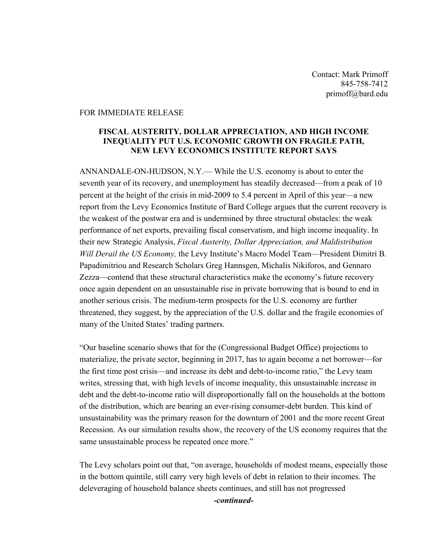Contact: Mark Primoff 845-758-7412 primoff@bard.edu

## FOR IMMEDIATE RELEASE

## **FISCAL AUSTERITY, DOLLAR APPRECIATION, AND HIGH INCOME INEQUALITY PUT U.S. ECONOMIC GROWTH ON FRAGILE PATH, NEW LEVY ECONOMICS INSTITUTE REPORT SAYS**

ANNANDALE-ON-HUDSON, N.Y.— While the U.S. economy is about to enter the seventh year of its recovery, and unemployment has steadily decreased—from a peak of 10 percent at the height of the crisis in mid-2009 to 5.4 percent in April of this year—a new report from the Levy Economics Institute of Bard College argues that the current recovery is the weakest of the postwar era and is undermined by three structural obstacles: the weak performance of net exports, prevailing fiscal conservatism, and high income inequality. In their new Strategic Analysis, *Fiscal Austerity, Dollar Appreciation, and Maldistribution Will Derail the US Economy,* the Levy Institute's Macro Model Team—President Dimitri B. Papadimitriou and Research Scholars Greg Hannsgen, Michalis Nikiforos, and Gennaro Zezza—contend that these structural characteristics make the economy's future recovery once again dependent on an unsustainable rise in private borrowing that is bound to end in another serious crisis. The medium-term prospects for the U.S. economy are further threatened, they suggest, by the appreciation of the U.S. dollar and the fragile economies of many of the United States' trading partners.

"Our baseline scenario shows that for the (Congressional Budget Office) projections to materialize, the private sector, beginning in 2017, has to again become a net borrower—for the first time post crisis—and increase its debt and debt-to-income ratio," the Levy team writes, stressing that, with high levels of income inequality, this unsustainable increase in debt and the debt-to-income ratio will disproportionally fall on the households at the bottom of the distribution, which are bearing an ever-rising consumer-debt burden. This kind of unsustainability was the primary reason for the downturn of 2001 and the more recent Great Recession. As our simulation results show, the recovery of the US economy requires that the same unsustainable process be repeated once more."

The Levy scholars point out that, "on average, households of modest means, especially those in the bottom quintile, still carry very high levels of debt in relation to their incomes. The deleveraging of household balance sheets continues, and still has not progressed

*-continued-*